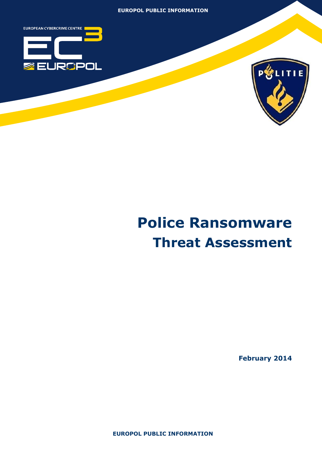



# **Police Ransomware Threat Assessment**

**February 2014**

**EUROPOL PUBLIC INFORMATION**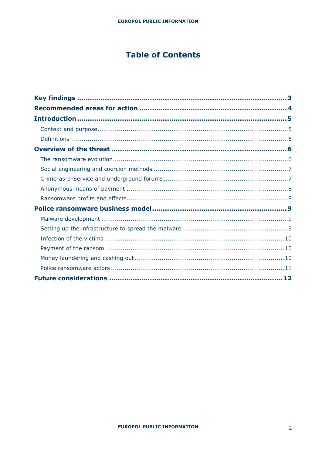## **Table of Contents**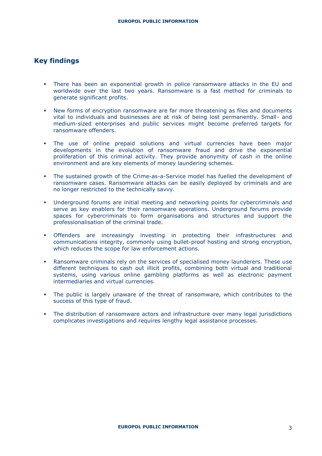## **Key findings**

- There has been an exponential growth in police ransomware attacks in the EU and worldwide over the last two years. Ransomware is a fast method for criminals to generate significant profits.
- New forms of encryption ransomware are far more threatening as files and documents vital to individuals and businesses are at risk of being lost permanently. Small- and medium-sized enterprises and public services might become preferred targets for ransomware offenders.
- The use of online prepaid solutions and virtual currencies have been major developments in the evolution of ransomware fraud and drive the exponential proliferation of this criminal activity. They provide anonymity of cash in the online environment and are key elements of money laundering schemes.
- The sustained growth of the Crime-as-a-Service model has fuelled the development of ransomware cases. Ransomware attacks can be easily deployed by criminals and are no longer restricted to the technically savvy.
- Underground forums are initial meeting and networking points for cybercriminals and serve as key enablers for their ransomware operations. Underground forums provide spaces for cybercriminals to form organisations and structures and support the professionalisation of the criminal trade.
- Offenders are increasingly investing in protecting their infrastructures and communications integrity, commonly using bullet-proof hosting and strong encryption, which reduces the scope for law enforcement actions.
- Ransomware criminals rely on the services of specialised money launderers. These use different techniques to cash out illicit profits, combining both virtual and traditional systems, using various online gambling platforms as well as electronic payment intermediaries and virtual currencies.
- The public is largely unaware of the threat of ransomware, which contributes to the success of this type of fraud.
- The distribution of ransomware actors and infrastructure over many legal jurisdictions complicates investigations and requires lengthy legal assistance processes.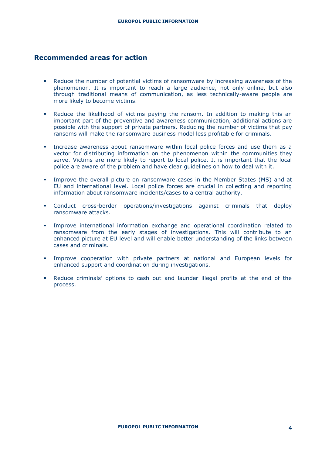## **Recommended areas for action**

- Reduce the number of potential victims of ransomware by increasing awareness of the phenomenon. It is important to reach a large audience, not only online, but also through traditional means of communication, as less technically-aware people are more likely to become victims.
- Reduce the likelihood of victims paying the ransom. In addition to making this an important part of the preventive and awareness communication, additional actions are possible with the support of private partners. Reducing the number of victims that pay ransoms will make the ransomware business model less profitable for criminals.
- Increase awareness about ransomware within local police forces and use them as a vector for distributing information on the phenomenon within the communities they serve. Victims are more likely to report to local police. It is important that the local police are aware of the problem and have clear guidelines on how to deal with it.
- Improve the overall picture on ransomware cases in the Member States (MS) and at EU and international level. Local police forces are crucial in collecting and reporting information about ransomware incidents/cases to a central authority.
- Conduct cross-border operations/investigations against criminals that deploy ransomware attacks.
- Improve international information exchange and operational coordination related to ransomware from the early stages of investigations. This will contribute to an enhanced picture at EU level and will enable better understanding of the links between cases and criminals.
- Improve cooperation with private partners at national and European levels for enhanced support and coordination during investigations.
- Reduce criminals' options to cash out and launder illegal profits at the end of the process.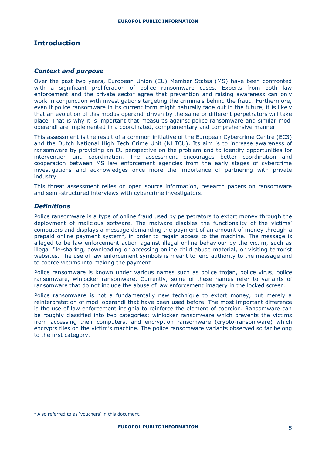## **Introduction**

#### *Context and purpose*

Over the past two years, European Union (EU) Member States (MS) have been confronted with a significant proliferation of police ransomware cases. Experts from both law enforcement and the private sector agree that prevention and raising awareness can only work in conjunction with investigations targeting the criminals behind the fraud. Furthermore, even if police ransomware in its current form might naturally fade out in the future, it is likely that an evolution of this modus operandi driven by the same or different perpetrators will take place. That is why it is important that measures against police ransomware and similar modi operandi are implemented in a coordinated, complementary and comprehensive manner.

This assessment is the result of a common initiative of the European Cybercrime Centre (EC3) and the Dutch National High Tech Crime Unit (NHTCU). Its aim is to increase awareness of ransomware by providing an EU perspective on the problem and to identify opportunities for intervention and coordination. The assessment encourages better coordination and cooperation between MS law enforcement agencies from the early stages of cybercrime investigations and acknowledges once more the importance of partnering with private industry.

This threat assessment relies on open source information, research papers on ransomware and semi-structured interviews with cybercrime investigators.

#### *Definitions*

Police ransomware is a type of online fraud used by perpetrators to extort money through the deployment of malicious software. The malware disables the functionality of the victims' computers and displays a message demanding the payment of an amount of money through a prepaid online payment system<sup>1</sup>, in order to regain access to the machine. The message is alleged to be law enforcement action against illegal online behaviour by the victim, such as illegal file-sharing, downloading or accessing online child abuse material, or visiting terrorist websites. The use of law enforcement symbols is meant to lend authority to the message and to coerce victims into making the payment.

Police ransomware is known under various names such as police trojan, police virus, police ransomware, winlocker ransomware. Currently, some of these names refer to variants of ransomware that do not include the abuse of law enforcement imagery in the locked screen.

Police ransomware is not a fundamentally new technique to extort money, but merely a reinterpretation of modi operandi that have been used before. The most important difference is the use of law enforcement insignia to reinforce the element of coercion. Ransomware can be roughly classified into two categories: winlocker ransomware which prevents the victims from accessing their computers, and encryption ransomware (crypto-ransomware) which encrypts files on the victim's machine. The police ransomware variants observed so far belong to the first category.

<sup>&</sup>lt;sup>1</sup> Also referred to as 'vouchers' in this document.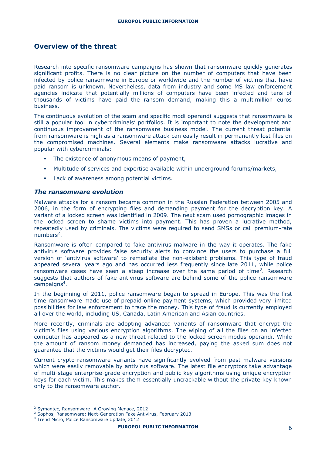## **Overview of the threat**

Research into specific ransomware campaigns has shown that ransomware quickly generates significant profits. There is no clear picture on the number of computers that have been infected by police ransomware in Europe or worldwide and the number of victims that have paid ransom is unknown. Nevertheless, data from industry and some MS law enforcement agencies indicate that potentially millions of computers have been infected and tens of thousands of victims have paid the ransom demand, making this a multimillion euros business.

The continuous evolution of the scam and specific modi operandi suggests that ransomware is still a popular tool in cybercriminals' portfolios. It is important to note the development and continuous improvement of the ransomware business model. The current threat potential from ransomware is high as a ransomware attack can easily result in permanently lost files on the compromised machines. Several elements make ransomware attacks lucrative and popular with cybercriminals:

- The existence of anonymous means of payment,
- Multitude of services and expertise available within underground forums/markets,
- **Lack of awareness among potential victims.**

#### *The ransomware evolution*

Malware attacks for a ransom became common in the Russian Federation between 2005 and 2006, in the form of encrypting files and demanding payment for the decryption key. A variant of a locked screen was identified in 2009. The next scam used pornographic images in the locked screen to shame victims into payment. This has proven a lucrative method, repeatedly used by criminals. The victims were required to send SMSs or call premium-rate numbers<sup>2</sup>.

Ransomware is often compared to fake antivirus malware in the way it operates. The fake antivirus software provides false security alerts to convince the users to purchase a full version of 'antivirus software' to remediate the non-existent problems. This type of fraud appeared several years ago and has occurred less frequently since late 2011, while police ransomware cases have seen a steep increase over the same period of time<sup>3</sup>. Research suggests that authors of fake antivirus software are behind some of the police ransomware campaigns<sup>4</sup>.

In the beginning of 2011, police ransomware began to spread in Europe. This was the first time ransomware made use of prepaid online payment systems, which provided very limited possibilities for law enforcement to trace the money. This type of fraud is currently employed all over the world, including US, Canada, Latin American and Asian countries.

More recently, criminals are adopting advanced variants of ransomware that encrypt the victim's files using various encryption algorithms. The wiping of all the files on an infected computer has appeared as a new threat related to the locked screen modus operandi. While the amount of ransom money demanded has increased, paying the asked sum does not guarantee that the victims would get their files decrypted.

Current crypto-ransomware variants have significantly evolved from past malware versions which were easily removable by antivirus software. The latest file encryptors take advantage of multi-stage enterprise-grade encryption and public key algorithms using unique encryption keys for each victim. This makes them essentially uncrackable without the private key known only to the ransomware author.

<sup>2</sup> Symantec, Ransomware: A Growing Menace, 2012

<sup>&</sup>lt;sup>3</sup> Sophos, Ransomware: Next-Generation Fake Antivirus, February 2013

<sup>4</sup> Trend Micro, Police Ransomware Update, 2012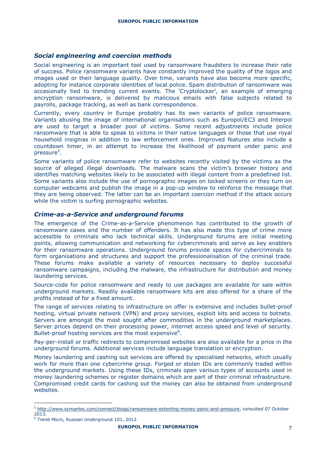#### *Social engineering and coercion methods*

Social engineering is an important tool used by ransomware fraudsters to increase their rate of success. Police ransomware variants have constantly improved the quality of the logos and images used or their language quality. Over time, variants have also become more specific, adopting for instance corporate identities of local police. Spam distribution of ransomware was occasionally tied to trending current events. The 'Cryptolocker', an example of emerging encryption ransomware, is delivered by malicious emails with false subjects related to payrolls, package tracking, as well as bank correspondence.

Currently, every country in Europe probably has its own variants of police ransomware. Variants abusing the image of international organisations such as Europol/EC3 and Interpol are used to target a broader pool of victims. Some recent adjustments include police ransomware that is able to speak to victims in their native languages or those that use royal household insignias in addition to law enforcement ones. Improved features also include a countdown timer, in an attempt to increase the likelihood of payment under panic and pressure<sup>5</sup>.

Some variants of police ransomware refer to websites recently visited by the victims as the source of alleged illegal downloads. The malware scans the victim's browser history and identifies matching websites likely to be associated with illegal content from a predefined list. Some variants also include the use of pornographic images on locked screens or they turn on computer webcams and publish the image in a pop-up window to reinforce the message that they are being observed. The latter can be an important coercion method if the attack occurs while the victim is surfing pornographic websites.

#### *Crime-as-a-Service and underground forums*

The emergence of the Crime-as-a-Service phenomenon has contributed to the growth of ransomware cases and the number of offenders. It has also made this type of crime more accessible to criminals who lack technical skills. Underground forums are initial meeting points, allowing communication and networking for cybercriminals and serve as key enablers for their ransomware operations. Underground forums provide spaces for cybercriminals to form organisations and structures and support the professionalisation of the criminal trade. These forums make available a variety of resources necessary to deploy successful ransomware campaigns, including the malware, the infrastructure for distribution and money laundering services.

Source-code for police ransomware and ready to use packages are available for sale within underground markets. Readily available ransomware kits are also offered for a share of the profits instead of for a fixed amount.

The range of services relating to infrastructure on offer is extensive and includes bullet-proof hosting, virtual private network (VPN) and proxy services, exploit kits and access to botnets. Servers are amongst the most sought after commodities in the underground marketplaces. Server prices depend on their processing power, internet access speed and level of security. Bullet-proof hosting services are the most expensive<sup>6</sup>.

Pay-per-install or traffic redirects to compromised websites are also available for a price in the underground forums. Additional services include language translation or encryption.

Money laundering and cashing out services are offered by specialised networks, which usually work for more than one cybercrime group. Forged or stolen IDs are commonly traded within the underground markets. Using these IDs, criminals open various types of accounts used in money laundering schemes or register domains which are part of their criminal infrastructure. Compromised credit cards for cashing out the money can also be obtained from underground websites.

<sup>5</sup> [http://www.symantec.com/connect/blogs/ransomware-extorting-money-panic-and-pressure,](http://www.symantec.com/connect/blogs/ransomware-extorting-money-panic-and-pressure) consulted 07 October 2013.

<sup>6</sup> Trend Micro, Russian Underground 101, 2012.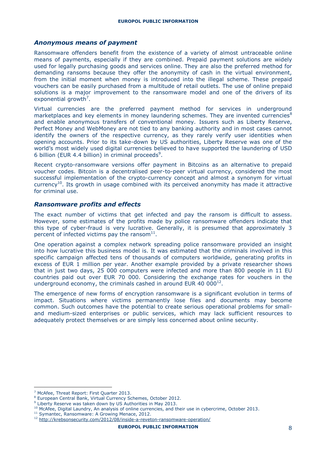#### *Anonymous means of payment*

Ransomware offenders benefit from the existence of a variety of almost untraceable online means of payments, especially if they are combined. Prepaid payment solutions are widely used for legally purchasing goods and services online. They are also the preferred method for demanding ransoms because they offer the anonymity of cash in the virtual environment, from the initial moment when money is introduced into the illegal scheme. These prepaid vouchers can be easily purchased from a multitude of retail outlets. The use of online prepaid solutions is a major improvement to the ransomware model and one of the drivers of its exponential growth<sup>7</sup>.

Virtual currencies are the preferred payment method for services in underground marketplaces and key elements in money laundering schemes. They are invented currencies<sup>8</sup> and enable anonymous transfers of conventional money. Issuers such as Liberty Reserve, Perfect Money and WebMoney are not tied to any banking authority and in most cases cannot identify the owners of the respective currency, as they rarely verify user identities when opening accounts. Prior to its take-down by US authorities, Liberty Reserve was one of the world's most widely used digital currencies believed to have supported the laundering of USD 6 billion (EUR 4.4 billion) in criminal proceeds<sup>9</sup>.

Recent crypto-ransomware versions offer payment in Bitcoins as an alternative to prepaid voucher codes. Bitcoin is a decentralised peer-to-peer virtual currency, considered the most successful implementation of the crypto-currency concept and almost a synonym for virtual currency<sup>10</sup>. Its growth in usage combined with its perceived anonymity has made it attractive for criminal use.

#### *Ransomware profits and effects*

The exact number of victims that get infected and pay the ransom is difficult to assess. However, some estimates of the profits made by police ransomware offenders indicate that this type of cyber-fraud is very lucrative. Generally, it is presumed that approximately 3 percent of infected victims pay the ransom $^{11}$ .

One operation against a complex network spreading police ransomware provided an insight into how lucrative this business model is. It was estimated that the criminals involved in this specific campaign affected tens of thousands of computers worldwide, generating profits in excess of EUR 1 million per year. Another example provided by a private researcher shows that in just two days, 25 000 computers were infected and more than 800 people in 11 EU countries paid out over EUR 70 000. Considering the exchange rates for vouchers in the underground economy, the criminals cashed in around EUR 40 000 $^{12}$ .

The emergence of new forms of encryption ransomware is a significant evolution in terms of impact. Situations where victims permanently lose files and documents may become common. Such outcomes have the potential to create serious operational problems for smalland medium-sized enterprises or public services, which may lack sufficient resources to adequately protect themselves or are simply less concerned about online security.

<sup>&</sup>lt;sup>7</sup> McAfee, Threat Report: First Quarter 2013.

<sup>8</sup> European Central Bank, Virtual Currency Schemes, October 2012.

<sup>&</sup>lt;sup>9</sup> Liberty Reserve was taken down by US Authorities in May 2013.

<sup>&</sup>lt;sup>10</sup> McAfee, Digital Laundry, An analysis of online currencies, and their use in cybercrime, October 2013.

<sup>&</sup>lt;sup>11</sup> Symantec, Ransomware: A Growing Menace, 2012.

<sup>12</sup> <http://krebsonsecurity.com/2012/08/inside-a-reveton-ransomware-operation/>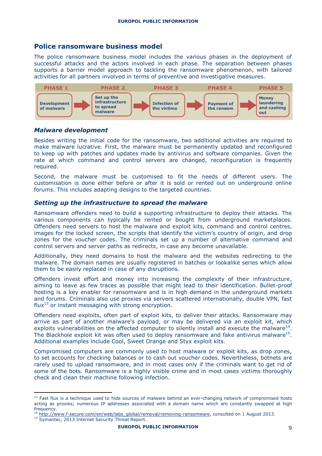## **Police ransomware business model**

The police ransomware business model includes the various phases in the deployment of successful attacks and the actors involved in each phase. The separation between phases supports a barrier model approach to tackling the ransomware phenomenon, with tailored activities for all partners involved in terms of preventive and investigative measures. he police ransomware business model includes the various phases in the deploym



#### *Malware development*

initial code for the ransomware, two addition make malware lucrative. First, the malware must be permanently updated and reconfigured • **Bullet proof hosts** • **Sellers and renters** rate at which command and control servers are changed, reconfiguration is frequently Besides writing the initial code for the ransomware, two additional activities are required to • **Hackers**  • **Webhosts**  • **Exchangers** • **Crypters** to keep up with patches and updates made by antivirus and software companies. Given the required.

customisation is done either before or after it is sold or rented out on underground online **FIGURERS INTERFALLER IS SECURE 2018 COMPANIES AND SECURE 2018** Second, the malware must be customised to fit the needs of different users. The

## • **Private companies?!?** • **National authorities** *Setting up the infrastructure to spread the malware*

Ransomware offenders need to build a supporting infrastructure to deploy their attacks. The various components can typically be rented or bought from underground marketplaces. Offenders need servers to host the malware and exploit kits, command and control centres, images for the locked screen, the scripts that identify the victim's country of origin, and drop zones for the voucher codes. The criminals set up a number of alternative command and control servers and server paths as redirects, in case any become unavailable.

Additionally, they need domains to host the malware and the websites redirecting to the malware. The domain names are usually registered in batches or lookalike series which allow them to be easily replaced in case of any disruptions.

Offenders invest effort and money into increasing the complexity of their infrastructure, aiming to leave as few traces as possible that might lead to their identification. Bullet-proof hosting is a key enabler for ransomware and is in high demand in the underground markets and forums. Criminals also use proxies via servers scattered internationally, double VPN, fast  $flux^{13}$  or instant messaging with strong encryption.

Offenders need exploits, often part of exploit kits, to deliver their attacks. Ransomware may arrive as part of another malware's payload, or may be delivered via an exploit kit, which exploits vulnerabilities on the affected computer to silently install and execute the malware $^{14}$ . The Blackhole exploit kit was often used to deploy ransomware and fake antivirus malware $^{15}$ . Additional examples include Cool, Sweet Orange and Styx exploit kits.

Compromised computers are commonly used to host malware or exploit kits, as drop zones, to set accounts for checking balances or to cash out voucher codes. Nevertheless, botnets are rarely used to upload ransomware, and in most cases only if the criminals want to get rid of some of the bots. Ransomware is a highly visible crime and in most cases victims thoroughly check and clean their machine following infection.

15 Symantec, 2013 Internet Security Threat Report.

 $13$  Fast flux is a technique used to hide sources of malware behind an ever-changing network of compromised hosts acting as proxies; numerous IP addresses associated with a domain name which are constantly swapped at high frequency.

[http://www.f-secure.com/en/web/labs\\_global/removal/removing-ransomware,](http://www.f-secure.com/en/web/labs_global/removal/removing-ransomware) consulted on 1 August 2013.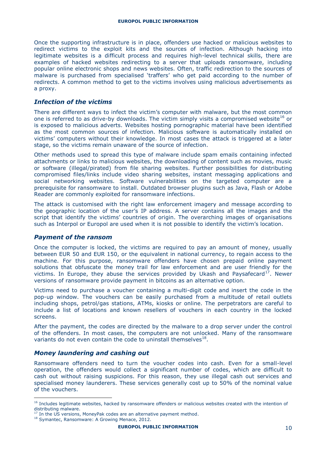Once the supporting infrastructure is in place, offenders use hacked or malicious websites to redirect victims to the exploit kits and the sources of infection. Although hacking into legitimate websites is a difficult process and requires high-level technical skills, there are examples of hacked websites redirecting to a server that uploads ransomware, including popular online electronic shops and news websites. Often, traffic redirection to the sources of malware is purchased from specialised 'traffers' who get paid according to the number of redirects. A common method to get to the victims involves using malicious advertisements as a proxy.

#### *Infection of the victims*

There are different ways to infect the victim's computer with malware, but the most common one is referred to as drive-by downloads. The victim simply visits a compromised website<sup>16</sup> or is exposed to malicious adverts. Websites hosting pornographic material have been identified as the most common sources of infection. Malicious software is automatically installed on victims' computers without their knowledge. In most cases the attack is triggered at a later stage, so the victims remain unaware of the source of infection.

Other methods used to spread this type of malware include spam emails containing infected attachments or links to malicious websites, the downloading of content such as movies, music or software (illegal/pirated) from file sharing websites. Further possibilities for distributing compromised files/links include video sharing websites, instant messaging applications and social networking websites. Software vulnerabilities on the targeted computer are a prerequisite for ransomware to install. Outdated browser plugins such as Java, Flash or Adobe Reader are commonly exploited for ransomware infections.

The attack is customised with the right law enforcement imagery and message according to the geographic location of the user's IP address. A server contains all the images and the script that identify the victims' countries of origin. The overarching images of organisations such as Interpol or Europol are used when it is not possible to identify the victim's location.

#### *Payment of the ransom*

Once the computer is locked, the victims are required to pay an amount of money, usually between EUR 50 and EUR 150, or the equivalent in national currency, to regain access to the machine. For this purpose, ransomware offenders have chosen prepaid online payment solutions that obfuscate the money trail for law enforcement and are user friendly for the victims. In Europe, they abuse the services provided by Ukash and Paysafecard<sup>17</sup>. Newer versions of ransomware provide payment in bitcoins as an alternative option.

Victims need to purchase a voucher containing a multi-digit code and insert the code in the pop-up window. The vouchers can be easily purchased from a multitude of retail outlets including shops, petrol/gas stations, ATMs, kiosks or online. The perpetrators are careful to include a list of locations and known resellers of vouchers in each country in the locked screens.

After the payment, the codes are directed by the malware to a drop server under the control of the offenders. In most cases, the computers are not unlocked. Many of the ransomware variants do not even contain the code to uninstall themselves $^{18}$ .

#### *Money laundering and cashing out*

Ransomware offenders need to turn the voucher codes into cash. Even for a small-level operation, the offenders would collect a significant number of codes, which are difficult to cash out without raising suspicions. For this reason, they use illegal cash out services and specialised money launderers. These services generally cost up to 50% of the nominal value of the vouchers.

<sup>&</sup>lt;sup>16</sup> Includes legitimate websites, hacked by ransomware offenders or malicious websites created with the intention of distributing malware.

In the US versions, MoneyPak codes are an alternative payment method.

<sup>18</sup> Symantec, Ransomware: A Growing Menace, 2012.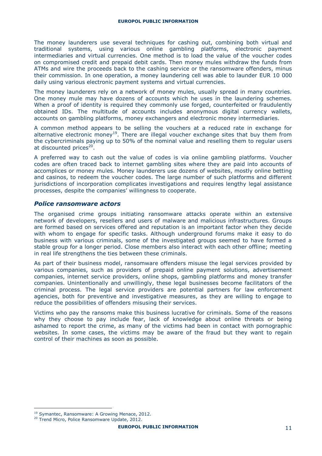The money launderers use several techniques for cashing out, combining both virtual and traditional systems, using various online gambling platforms, electronic payment intermediaries and virtual currencies. One method is to load the value of the voucher codes on compromised credit and prepaid debit cards. Then money mules withdraw the funds from ATMs and wire the proceeds back to the cashing service or the ransomware offenders, minus their commission. In one operation, a money laundering cell was able to launder EUR 10 000 daily using various electronic payment systems and virtual currencies.

The money launderers rely on a network of money mules, usually spread in many countries. One money mule may have dozens of accounts which he uses in the laundering schemes. When a proof of identity is required they commonly use forged, counterfeited or fraudulently obtained IDs. The multitude of accounts includes anonymous digital currency wallets, accounts on gambling platforms, money exchangers and electronic money intermediaries.

A common method appears to be selling the vouchers at a reduced rate in exchange for alternative electronic money<sup>19</sup>. There are illegal voucher exchange sites that buy them from the cybercriminals paying up to 50% of the nominal value and reselling them to regular users at discounted prices<sup>20</sup>.

A preferred way to cash out the value of codes is via online gambling platforms. Voucher codes are often traced back to internet gambling sites where they are paid into accounts of accomplices or money mules. Money launderers use dozens of websites, mostly online betting and casinos, to redeem the voucher codes. The large number of such platforms and different jurisdictions of incorporation complicates investigations and requires lengthy legal assistance processes, despite the companies' willingness to cooperate.

#### *Police ransomware actors*

The organised crime groups initiating ransomware attacks operate within an extensive network of developers, resellers and users of malware and malicious infrastructures. Groups are formed based on services offered and reputation is an important factor when they decide with whom to engage for specific tasks. Although underground forums make it easy to do business with various criminals, some of the investigated groups seemed to have formed a stable group for a longer period. Close members also interact with each other offline; meeting in real life strengthens the ties between these criminals.

As part of their business model, ransomware offenders misuse the legal services provided by various companies, such as providers of prepaid online payment solutions, advertisement companies, internet service providers, online shops, gambling platforms and money transfer companies. Unintentionally and unwillingly, these legal businesses become facilitators of the criminal process. The legal service providers are potential partners for law enforcement agencies, both for preventive and investigative measures, as they are willing to engage to reduce the possibilities of offenders misusing their services.

Victims who pay the ransoms make this business lucrative for criminals. Some of the reasons why they choose to pay include fear, lack of knowledge about online threats or being ashamed to report the crime, as many of the victims had been in contact with pornographic websites. In some cases, the victims may be aware of the fraud but they want to regain control of their machines as soon as possible.

<sup>&</sup>lt;sup>19</sup> Symantec, Ransomware: A Growing Menace, 2012.

<sup>&</sup>lt;sup>20</sup> Trend Micro, Police Ransomware Update, 2012.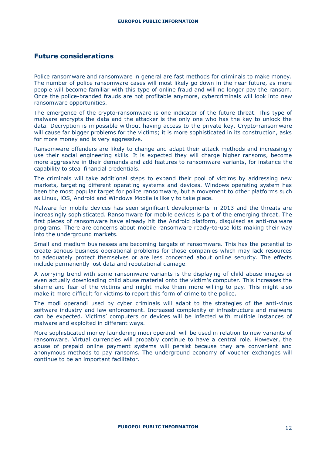## **Future considerations**

Police ransomware and ransomware in general are fast methods for criminals to make money. The number of police ransomware cases will most likely go down in the near future, as more people will become familiar with this type of online fraud and will no longer pay the ransom. Once the police-branded frauds are not profitable anymore, cybercriminals will look into new ransomware opportunities.

The emergence of the crypto-ransomware is one indicator of the future threat. This type of malware encrypts the data and the attacker is the only one who has the key to unlock the data. Decryption is impossible without having access to the private key. Crypto-ransomware will cause far bigger problems for the victims; it is more sophisticated in its construction, asks for more money and is very aggressive.

Ransomware offenders are likely to change and adapt their attack methods and increasingly use their social engineering skills. It is expected they will charge higher ransoms, become more aggressive in their demands and add features to ransomware variants, for instance the capability to steal financial credentials.

The criminals will take additional steps to expand their pool of victims by addressing new markets, targeting different operating systems and devices. Windows operating system has been the most popular target for police ransomware, but a movement to other platforms such as Linux, iOS, Android and Windows Mobile is likely to take place.

Malware for mobile devices has seen significant developments in 2013 and the threats are increasingly sophisticated. Ransomware for mobile devices is part of the emerging threat. The first pieces of ransomware have already hit the Android platform, disguised as anti-malware programs. There are concerns about mobile ransomware ready-to-use kits making their way into the underground markets.

Small and medium businesses are becoming targets of ransomware. This has the potential to create serious business operational problems for those companies which may lack resources to adequately protect themselves or are less concerned about online security. The effects include permanently lost data and reputational damage.

A worrying trend with some ransomware variants is the displaying of child abuse images or even actually downloading child abuse material onto the victim's computer. This increases the shame and fear of the victims and might make them more willing to pay. This might also make it more difficult for victims to report this form of crime to the police.

The modi operandi used by cyber criminals will adapt to the strategies of the anti-virus software industry and law enforcement. Increased complexity of infrastructure and malware can be expected. Victims' computers or devices will be infected with multiple instances of malware and exploited in different ways.

More sophisticated money laundering modi operandi will be used in relation to new variants of ransomware. Virtual currencies will probably continue to have a central role. However, the abuse of prepaid online payment systems will persist because they are convenient and anonymous methods to pay ransoms. The underground economy of voucher exchanges will continue to be an important facilitator.